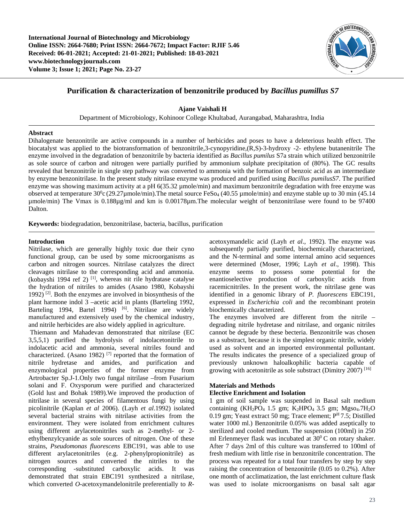

# **Purification & characterization of benzonitrile produced by** *Bacillus pumillus S7*

**Ajane Vaishali H**

Department of Microbiology, Kohinoor College Khultabad, Aurangabad, Maharashtra, India

## **Abstract**

Dihalogenate benzonitrile are active compounds in a number of herbicides and poses to have a deleterious health effect. The biocatalyst was applied to the biotransformation of benzonitrile,3-cynopyridine,(R,S)-3-hydroxy -2- ethylene butanenitrile The enzyme involved in the degradation of benzonitrile by bacteria identified as *Bacillus pumilus* S7a strain which utilized benzonitrile as sole source of carbon and nitrogen were partially purified by ammonium sulphate precipitation of (80%). The GC results revealed that benzonitrile in single step pathway was converted to ammonia with the formation of benzoic acid as an intermediate by enzyme benzonitrilase. In the present study nitrilase enzyme was produced and purified using *Bacillus pumilusS7*. The purified enzyme was showing maximum activity at a pH 6(35.32 µmole/min) and maximum benzonitrile degradation with free enzyme was observed at temperature  $30^{\circ}$ c (29.27µmole/min).The metal source FeSo<sub>4</sub> (40.55 µmole/min) and enzyme stable up to 30 min (45.14 µmole/min) The Vmax is 0.188µg/ml and km is 0.00178µm.The molecular weight of benzonitrilase were found to be 97400 Dalton.

**Keywords:** biodegradation, benzonitrilase, bacteria, bacillus, purification

# **Introduction**

Nitrilase, which are generally highly toxic due their cyno functional group, can be used by some microorganisms as carbon and nitrogen sources. Nitrilase catalyzes the direct cleavages nitrilase to the corresponding acid and ammonia. (kobayshi 1994 ref 2) [1] , whereas nit rile hydratase catalyse the hydration of nitriles to amides (Asano 1980, Kobayshi 1992)  $[2]$ . Both the enzymes are involved in biosynthesis of the plant harmone indol 3 –acetic acid in plants (Barteling 1992, Barteling 1994, Bartel 1994) <sup>[6]</sup>. Nitrilase are widely manufactured and extensively used by the chemical industry, and nitrile herbicides are also widely applied in agriculture.

Thiemann and Mahadevan demonstrated that nitrilase (EC 3,5,5,1) purified the hydrolysis of indolacetonitrile to indolacetic acid and ammonia, several nitriles found and characterized. (Asano 1982)<sup>[7]</sup> reported that the formation of nitrile hydretase and amides, and purification and enzymological properties of the former enzyme from Artrobacter Sp.J-1.Only two fungal nitrilase –from Fusarium solani and F. Oxysporum were purified and characterized (Gold lust and Bohak 1989).We improved the production of nitrilase in several species of filamentous fungi by using picolinitrile (Kaplan *et al* 2006). (Layh *et al*.1992) isolated several bacterial strains with nitrilase activities from the environment. They were isolated from enrichment cultures using different arylacetonitriles such as 2-methyl- or 2 ethylbenzylcyanide as sole sources of nitrogen. One of these strains, *Pseudomonas fluorescens* EBC191, was able to use different arylacetonitriles (e.g. 2-phenylpropionitrile) as nitrogen sources and converted the nitriles to the corresponding -substituted carboxylic acids. It was demonstrated that strain EBC191 synthesized a nitrilase, which converted *O*-acetoxymandelonitrile preferentially to *R*-

acetoxymandelic acid (Layh *et al*., 1992). The enzyme was subsequently partially purified, biochemically characterized, and the N-terminal and some internal amino acid sequences were determined (Moser, 1996; Layh *et al*., 1998). This enzyme seems to possess some potential for the enantioselective production of carboxylic acids from racemicnitriles. In the present work, the nitrilase gene was identified in a genomic library of *P. fluorescens* EBC191, expressed in *Escherichia coli* and the recombinant protein biochemically characterized.

The enzymes involved are different from the nitrile – degrading nitrile hydretase and nitrilase, and organic nitriles cannot be degrade by these becteria. Benzonitrile was chosen as a substract, because it is the simplest organic nitrile, widely used as solvent and an imported environmental polluntant. The results indicates the presence of a specialized group of previously unknown haloalkophilic bacteria capable of growing with acetonitrile as sole substract (Dimitry 2007) [16]

# **Materials and Methods**

# **Elective Enrichment and Isolation**

1 gm of soil sample was suspended in Basal salt medium containing (KH<sub>2</sub>PO<sub>4</sub> 1.5 gm; K<sub>2</sub>HPO<sub>4</sub> 3.5 gm; Mgso<sub>4</sub>.7H<sub>2</sub>O 0.19 gm; Yeast extract 50 mg; Trace element;  $P<sup>H</sup> 7.5$ ; Distilled water 1000 ml.) Benzonitrile 0.05% was added aseptically to sterilized and cooled medium. The suspension (100ml) in 250 ml Erlenmeyer flask was incubated at  $30^0$ C on rotary shaker. After 7 days 2ml of this culture was transferred to 100ml of fresh medium with little rise in benzonitrile concentration. The process was repeated for a total four transfers by step by step raising the concentration of benzonitrile (0.05 to 0.2%). After one month of acclimatization, the last enrichment culture flask was used to isolate microorganisms on basal salt agar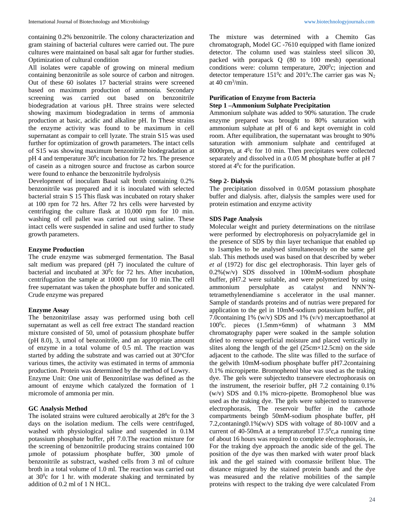containing 0.2% benzonitrile. The colony characterization and gram staining of bacterial cultures were carried out. The pure cultures were maintained on basal salt agar for further studies. Optimization of cultural condition

All isolates were capable of growing on mineral medium containing benzonitrile as sole source of carbon and nitrogen. Out of these 60 isolates 17 bacterial strains were screened based on maximum production of ammonia. Secondary screening was carried out based on benzonitrile biodegradation at various pH. Three strains were selected showing maximum biodegradation in terms of ammonia production at basic, acidic and alkaline pH. In These strains the enzyme activity was found to be maximum in cell supernatant as compair to cell lyzate. The strain S15 was used further for optimization of growth parameters. The intact cells of S15 was showing maximum benzonitrile biodegradation at  $pH$  4 and temperature 30 $^{\circ}$ c incubation for 72 hrs. The presence of casein as a nitrogen source and fructose as carbon source were found to enhance the benzonitrile hydrolysis

Development of inoculam Basal salt broth containing 0.2% benzonitrile was prepared and it is inoculated with selected bacterial strain S 15 This flask was incubated on rotary shaker at 100 rpm for 72 hrs. After 72 hrs cells were harvested by centrifuging the culture flask at 10,000 rpm for 10 min. washing of cell pallet was carried out using saline. These intact cells were suspended in saline and used further to study growth parameters.

#### **Enzyme Production**

The crude enzyme was submerged fermentation. The Basal salt medium was prepared (pH 7) inoculated the culture of bacterial and incubated at  $30^{\circ}$ c for 72 hrs. After incubation, centrifugation the sample at 10000 rpm for 10 min.The cell free supernatant was taken the phosphate buffer and sonicated. Crude enzyme was prepared

#### **Enzyme Assay**

The benzonitrilase assay was performed using both cell supernatant as well as cell free extract The standard reaction mixture consisted of 50, umol of potassium phosphate buffer (pH 8.0), 3, umol of benzonitrile, and an appropriate amount of enzyme in a total volume of 0.5 ml. The reaction was started by adding the substrate and was carried out at 30°Cfor various times, the activity was estimated in terms of ammonia production. Protein was determined by the method of Lowry.

Enzyme Unit: One unit of Benzonitrilase was defined as the amount of enzyme which catalyzed the formation of 1 micromole of ammonia per min.

#### **GC Analysis Method**

The isolated strains were cultured aerobically at 28<sup>0</sup>c for the 3 days on the isolation medium. The cells were centrifuged, washed with physiological saline and suspended in 0.1M potassium phosphate buffer, pH 7.0.The reaction mixture for the screening of benzonitrile producing strains contained 100 µmole of potassium phosphate buffer, 300 µmole of benzonitrile as substract, washed cells from 3 ml of culture broth in a total volume of 1.0 ml. The reaction was carried out at  $30^{\circ}$ c for 1 hr. with moderate shaking and terminated by addition of 0.2 ml of 1 N HCL.

The mixture was determined with a Chemito Gas chromatograph, Model GC -7610 equipped with flame ionized detector. The column used was stainless steel silicon 30, packed with porapack Q (80 to 100 mesh) operational conditions were: column temperature,  $200^{\circ}$ c; injection and detector temperature 151<sup>0</sup>c and 201<sup>0</sup>c. The carrier gas was  $N_2$ at 40 cm3 /min.

# **Purification of Enzyme from Bacteria**

# **Step 1 –Ammonium Sulphate Precipitation**

Ammonium sulphate was added to 90% saturation. The crude enzyme prepared was brought to 80% saturation with ammonium sulphate at pH of 6 and kept overnight in cold room. After equilibration, the supernatant was brought to 90% saturation with ammonium sulphate and centrifuged at 8000rpm, at 4<sup>0</sup>c for 10 min. Then precipitates were collected separately and dissolved in a 0.05 M phosphate buffer at pH 7 stored at  $4^0c$  for the purification.

### **Step 2- Dialysis**

The precipitation dissolved in 0.05M potassium phosphate buffer and dialysis. after, dialysis the samples were used for protein estimation and enzyme activity

### **SDS Page Analysis**

Molecular weight and puriety determinations on the nitrilase were performed by electrophoresis on polyacrylamide gel in the presence of SDS by thin layer techanique that enabled up to 1samples to be analysed simultaneously on the same gel slab. This methods used was based on that described by weber *et al* (1972) for disc gel electrophorasis. Thin layer gels of 0.2%(w/v) SDS dissolved in 100mM-sodium phosphate buffer, pH7.2 were suitable, and were polymerized by using ammonium persulphate as catalyst and NNN'Ntetramethylenendiamine s accelerator in the usal manner. Sample of standards proteins and of nutrias were prepared for application to the gel in 10mM-sodium potassium buffer, pH 7.0containing 1% (w/v) SDS and 1% (v/v) mercaptoethanol at 100<sup>0</sup>c. pieces (1.5mm×6mm) of whatmann 3 MM chromatography paper were soaked in the sample solution dried to remove superficial moisture and placed vertically in slites along the length of the gel (25cm×12.5cm) on the side adjacent to the cathode. The slite was filled to the surface of the gelwith 10mM-sodium phosphate buffer pH7.2containing 0.1% micropipette. Bromophenol blue was used as the traking dye. The gels were subjectedto transevere electrophorasis on the instrument, the reserioir buffer, pH 7.2 containing 0.1% (w/v) SDS and 0.1% micro-pipette. Bromophenol blue was used as the traking dye. The gels were subjected to transverse electrophorasis, The reservoir buffer in the cathode compartments beingb 50mM-sodium phosphate buffer, pH 7.2,contaning0.1%(w/v) SDS with voltage of 80-100V and a current of 40-50mA at a tempraturebof  $17.5^{\circ}$ c,a running time of about 16 hours was required to complete electrophorasis, ie. For the traking dye approach the anodic side of the gel. The position of the dye was then marked with water proof black ink and the gel stained with coomassie brillent blue. The distance migrated by the stained protein bands and the dye was measured and the relative mobilities of the sample proteins with respect to the traking dye were calculated From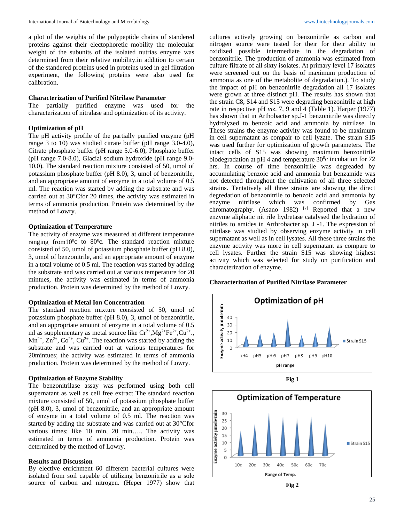a plot of the weights of the polypeptide chains of standered proteins against their electophoretic mobility the molecular weight of the subunits of the isolated nutrias enzyme was determined from their relative mobility.in addition to certain of the standered proteins used in proteins used in gel filtration experiment, the following proteins were also used for calibration.

## **Characterization of Purified Nitrilase Parameter**

The partially purified enzyme was used for the characterization of nitralase and optimization of its activity.

#### **Optimization of pH**

The pH activity profile of the partially purified enzyme (pH range 3 to 10) was studied citrate buffer (pH range 3.0-4.0), Citrate phosphate buffer (pH range 5.0-6.0), Phosphate buffer (pH range 7.0-8.0), Glacial sodium hydroxide (pH range 9.0- 10.0). The standard reaction mixture consisted of 50, umol of potassium phosphate buffer (pH 8.0), 3, umol of benzonitrile, and an appropriate amount of enzyme in a total volume of 0.5 ml. The reaction was started by adding the substrate and was carried out at 30°Cfor 20 times, the activity was estimated in terms of ammonia production. Protein was determined by the method of Lowry.

## **Optimization of Temperature**

The activity of enzyme was measured at different temperature ranging from  $10^0$ c to  $80^0$ c. The standard reaction mixture consisted of 50, umol of potassium phosphate buffer (pH 8.0), 3, umol of benzonitrile, and an appropriate amount of enzyme in a total volume of 0.5 ml. The reaction was started by adding the substrate and was carried out at various temperature for 20 mintues, the activity was estimated in terms of ammonia production. Protein was determined by the method of Lowry.

#### **Optimization of Metal Ion Concentration**

The standard reaction mixture consisted of 50, umol of potassium phosphate buffer (pH 8.0), 3, umol of benzonitrile, and an appropriate amount of enzyme in a total volume of 0.5 ml as supplementary as metal source like  $Cr^{2+}$ ,  $Mg^{2+}Fe^{2+}$ ,  $Cu^{2+}$ .  $Mn^{2+}$ ,  $Zn^{2+}$ ,  $Co^{2+}$ ,  $Cu^{2+}$ . The reaction was started by adding the substrate and was carried out at various temperatures for 20mintues; the activity was estimated in terms of ammonia production. Protein was determined by the method of Lowry.

#### **Optimization of Enzyme Stability**

The benzonitrilase assay was performed using both cell supernatant as well as cell free extract The standard reaction mixture consisted of 50, umol of potassium phosphate buffer (pH 8.0), 3, umol of benzonitrile, and an appropriate amount of enzyme in a total volume of 0.5 ml. The reaction was started by adding the substrate and was carried out at 30°Cfor various times; like 10 min, 20 min….. The activity was estimated in terms of ammonia production. Protein was determined by the method of Lowry.

#### **Results and Discussion**

By elective enrichment 60 different bacterial cultures were isolated from soil capable of utilizing benzonitrile as a sole source of carbon and nitrogen. (Heper 1977) show that cultures actively growing on benzonitrile as carbon and nitrogen source were tested for their for their ability to oxidized possible intermediate in the degradation of benzonitrile. The production of ammonia was estimated from culture filtrate of all sixty isolates. At primary level 17 isolates were screened out on the basis of maximum production of ammonia as one of the metabolite of degradation.). To study the impact of pH on benzonitrile degradation all 17 isolates were grown at three distinct pH. The results has shown that the strain C8, S14 and S15 were degrading benzonitrile at high rate in respective pH *viz*. 7, 9 and 4 (Table 1). Harper (1977) has shown that in Arthobacter sp.J-1 benzonitrile was directly hydrolyzed to benzoic acid and ammonia by nitrilase. In These strains the enzyme activity was found to be maximum in cell supernatant as compair to cell lyzate. The strain S15 was used further for optimization of growth parameters. The intact cells of S15 was showing maximum benzonitrile biodegradation at pH 4 and temperature  $30^0$ c incubation for  $72$ hrs. In course of time benzonitrile was degreaded by accumulating benzoic acid and ammonia but benzamide was not detected throughout the cultivation of all three selected strains. Tentatively all three strains are showing the direct degredation of benzonitrile to benzoic acid and ammonia by enzyme nitrilase which was confirmed by Gas chromatography. (Asano 1982)  $[7]$  Reported that a new enzyme aliphatic nit rile hydretase catalysed the hydration of nitriles to amides in Arthrobacter sp. J -1. The expression of nitrilase was studied by observing enzyme activity in cell supernatant as well as in cell lysates. All these three strains the enzyme activity was more in cell supernatant as compare to cell lysates. Further the strain S15 was showing highest activity which was selected for study on purification and characterization of enzyme.

## **Characterization of Purified Nitrilase Parameter**







**Fig 2**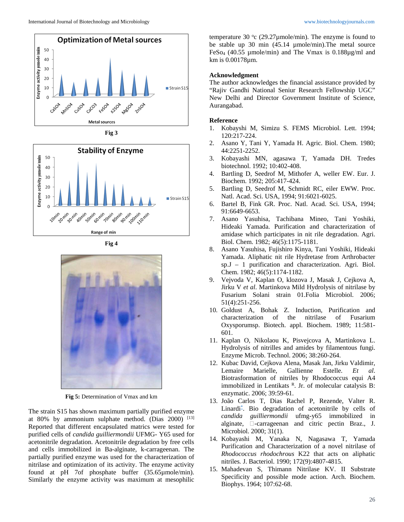









**Fig 5:** Determination of Vmax and km

The strain S15 has shown maximum partially purified enzyme at 80% by ammonium sulphate method. (Dias 2000)  $^{[13]}$ Reported that different encapsulated matrics were tested for purified cells of *candida guilliermondii* UFMG- Y65 used for acetonitrile degradation. Acetonitrile degradation by free cells and cells immobilized in Ba-alginate, k-carrageenan. The partially purified enzyme was used for the characterization of nitrilase and optimization of its activity. The enzyme activity found at pH 7of phosphate buffer (35.65µmole/min). Similarly the enzyme activity was maximum at mesophilic

temperature 30  $\degree$ c (29.27 $\mu$ mole/min). The enzyme is found to be stable up 30 min (45.14 µmole/min).The metal source FeSo4 (40.55 µmole/min) and The Vmax is 0.188µg/ml and km is 0.00178µm.

## **Acknowledgment**

The author acknowledges the financial assistance provided by "Rajiv Gandhi National Seniur Research Fellowship UGC" New Delhi and Director Government Institute of Science, Aurangabad.

## **Reference**

- 1. Kobayshi M, Simizu S. FEMS Microbiol. Lett. 1994; 120:217-224.
- 2. Asano Y, Tani Y, Yamada H. Agric. Biol. Chem. 1980; 44:2251-2252.
- 3. Kobayashi MN, agasawa T, Yamada DH. Tredes biotechnol. 1992; 10:402-408.
- 4. Bartling D, Seedrof M, Mithofer A, weller EW. Eur. J. Biochem. 1992; 205:417-424.
- 5. Bartling D, Seedrof M, Schmidt RC, eiler EWW. Proc. Natl. Acad. Sci. USA, 1994; 91:6021-6025.
- 6. Bartel B, Fink GR. Proc. Natl. Acad. Sci. USA, 1994; 91:6649-6653.
- 7. Asano Yasuhisa, Tachibana Mineo, Tani Yoshiki, Hideaki Yamada. Purification and characterization of amidase which participates in nit rile degradation. Agri. Biol. Chem. 1982; 46(5):1175-1181.
- 8. Asano Yasuhisa, Fujishiro Kinya, Tani Yoshiki, Hideaki Yamada. Aliphatic nit rile Hydretase from Arthrobacter sp.J – 1 purification and characterization. Agri. Biol. Chem. 1982; 46(5):1174-1182.
- 9. Vejvoda V, Kaplan O, klozova J, Masak J, Cejkova A, Jirku V *et al*. Martinkova Mild Hydrolysis of nitrilase by Fusarium Solani strain 01.Folia Microbiol. 2006; 51(4):251-256.
- 10. Goldust A, Bohak Z. Induction, Purification and characterization of the nitrilase of Fusarium Oxysporumsp. Biotech. appl. Biochem. 1989; 11:581- 601.
- 11. Kaplan O, Nikolaou K, Pisvejcova A, Martinkova L. Hydrolysis of nitrilles and amides by filamentous fungi. Enzyme Microb. Technol. 2006; 38:260-264.
- 12. Kubac David, Cejkova Alena, Masak Jan, Jirku Valdimir, Lemaire Marielle, Gallienne Estelle. *Et al*. Biotrasformation of nitriles by Rhodococcus equi A4 immobilized in Lentikats  $R$ . Jr. of molecular catalysis B: enzymatic. 2006; 39:59-61.
- 13. João Carlos T, Dias Rachel P, Rezende, Valter R. Linardi<sup>\*</sup>. Bio degradation of acetonitrile by cells of *candida guilliermondii* ufmg-y65 immobilized in alginate,  $\square$ -carrageenan and citric pectin Braz., J. Microbiol. 2000; 31(1).
- 14. Kobayashi M, Yanaka N, Nagasawa T, Yamada Purification and Characterization of a novel nitrilase of *Rhodococcus rhodochrous* K22 that acts on aliphatic nitriles*.* J. Bacteriol. 1990; 172(9):4807-4815.
- 15. Mahadevan S, Thimann Nitrilase KV. II Substrate Specificity and possible mode action. Arch. Biochem. Biophys. 1964; 107:62-68.